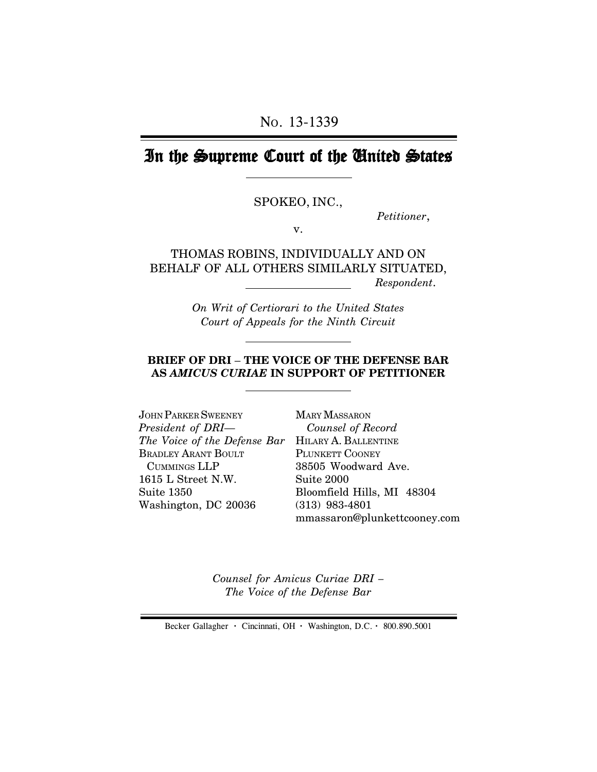# In the Supreme Court of the United States

#### SPOKEO, INC.,

*Petitioner*,

v.

THOMAS ROBINS, INDIVIDUALLY AND ON BEHALF OF ALL OTHERS SIMILARLY SITUATED,  *Respondent*.

> *On Writ of Certiorari to the United States Court of Appeals for the Ninth Circuit*

#### **BRIEF OF DRI** – **THE VOICE OF THE DEFENSE BAR AS** *AMICUS CURIAE* **IN SUPPORT OF PETITIONER**

JOHN PARKER SWEENEY *President of DRI— The Voice of the Defense Bar* HILARY A. BALLENTINE BRADLEY ARANT BOULT CUMMINGS LLP 1615 L Street N.W. Suite 1350 Washington, DC 20036

MARY MASSARON *Counsel of Record* PLUNKETT COONEY 38505 Woodward Ave. Suite 2000 Bloomfield Hills, MI 48304 (313) 983-4801 mmassaron@plunkettcooney.com

*Counsel for Amicus Curiae DRI – The Voice of the Defense Bar*

Becker Gallagher **·** Cincinnati, OH **·** Washington, D.C. **·** 800.890.5001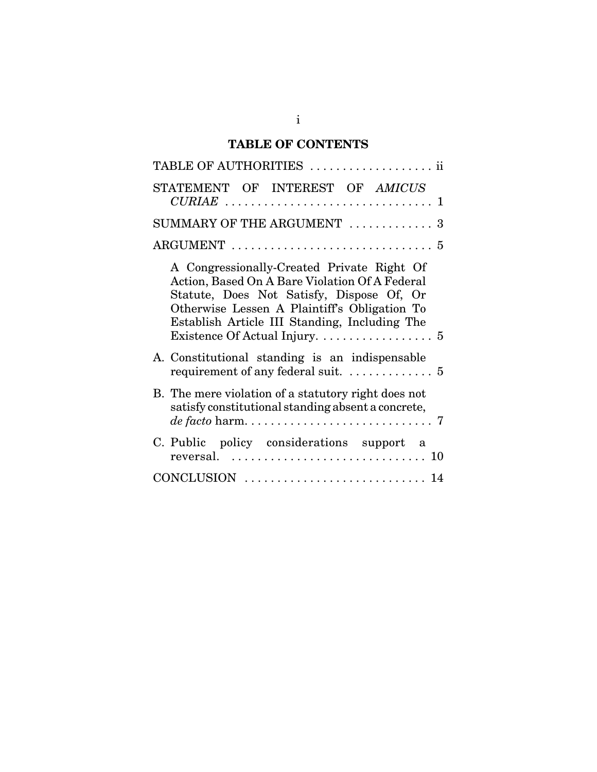# **TABLE OF CONTENTS**

| TABLE OF AUTHORITIES  ii                                                                                                                                                                                                                                                                                    |
|-------------------------------------------------------------------------------------------------------------------------------------------------------------------------------------------------------------------------------------------------------------------------------------------------------------|
| STATEMENT OF INTEREST OF AMICUS                                                                                                                                                                                                                                                                             |
| SUMMARY OF THE ARGUMENT  3                                                                                                                                                                                                                                                                                  |
|                                                                                                                                                                                                                                                                                                             |
| A Congressionally-Created Private Right Of<br>Action, Based On A Bare Violation Of A Federal<br>Statute, Does Not Satisfy, Dispose Of, Or<br>Otherwise Lessen A Plaintiff's Obligation To<br>Establish Article III Standing, Including The<br>Existence Of Actual Injury. $\dots \dots \dots \dots \dots$ 5 |
| A. Constitutional standing is an indispensable<br>requirement of any federal suit. $\dots \dots \dots \dots$ 5                                                                                                                                                                                              |
| B. The mere violation of a statutory right does not<br>satisfy constitutional standing absent a concrete,                                                                                                                                                                                                   |
| C. Public policy considerations support a<br>reversal. $\ldots \ldots \ldots \ldots \ldots \ldots \ldots \ldots \ldots 10$                                                                                                                                                                                  |
|                                                                                                                                                                                                                                                                                                             |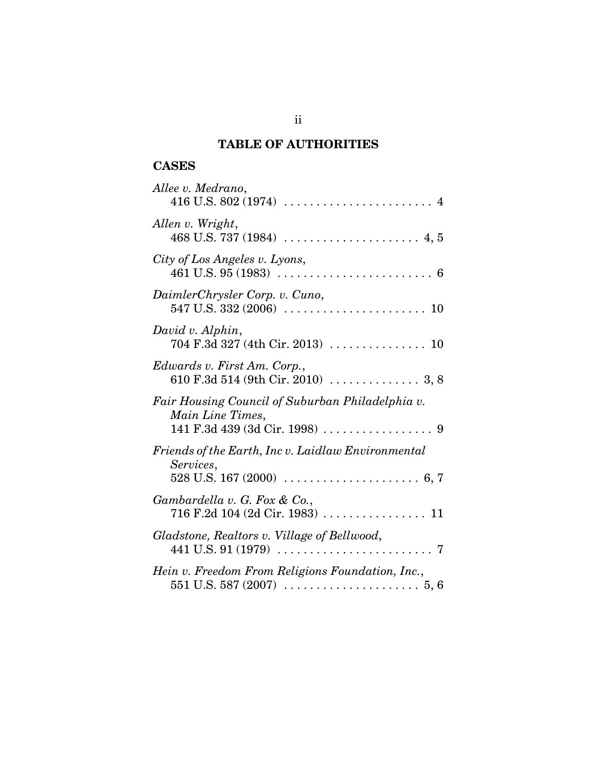## **TABLE OF AUTHORITIES**

### **CASES**

| Allee v. Medrano,                                                                                                            |
|------------------------------------------------------------------------------------------------------------------------------|
| Allen v. Wright,                                                                                                             |
| City of Los Angeles v. Lyons,                                                                                                |
| DaimlerChrysler Corp. v. Cuno,                                                                                               |
| David v. Alphin,                                                                                                             |
| Edwards v. First Am. Corp.,                                                                                                  |
| Fair Housing Council of Suburban Philadelphia v.<br>Main Line Times,                                                         |
| Friends of the Earth, Inc v. Laidlaw Environmental<br>Services,                                                              |
| Gambardella v. G. Fox & Co.,                                                                                                 |
| Gladstone, Realtors v. Village of Bellwood,                                                                                  |
| Hein v. Freedom From Religions Foundation, Inc.,<br>$551$ U.S. $587$ (2007) $\ldots \ldots \ldots \ldots \ldots \ldots 5, 6$ |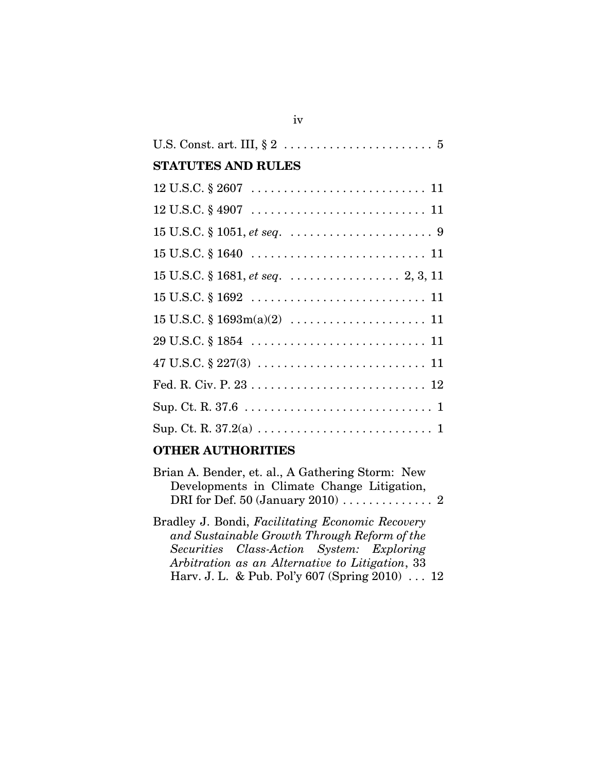| <b>STATUTES AND RULES</b>                  |
|--------------------------------------------|
|                                            |
|                                            |
|                                            |
|                                            |
| $15$ U.S.C. § 1681, <i>et seq</i> 2, 3, 11 |
|                                            |
|                                            |
|                                            |
|                                            |
|                                            |
|                                            |
|                                            |
|                                            |

### **OTHER AUTHORITIES**

| Brian A. Bender, et. al., A Gathering Storm: New |  |
|--------------------------------------------------|--|
| Developments in Climate Change Litigation,       |  |
|                                                  |  |

Bradley J. Bondi, *Facilitating Economic Recovery and Sustainable Growth Through Reform of the Securities Class-Action System: Exploring Arbitration as an Alternative to Litigation*, 33 Harv. J. L. & Pub. Pol'y 607 (Spring 2010) . . . 12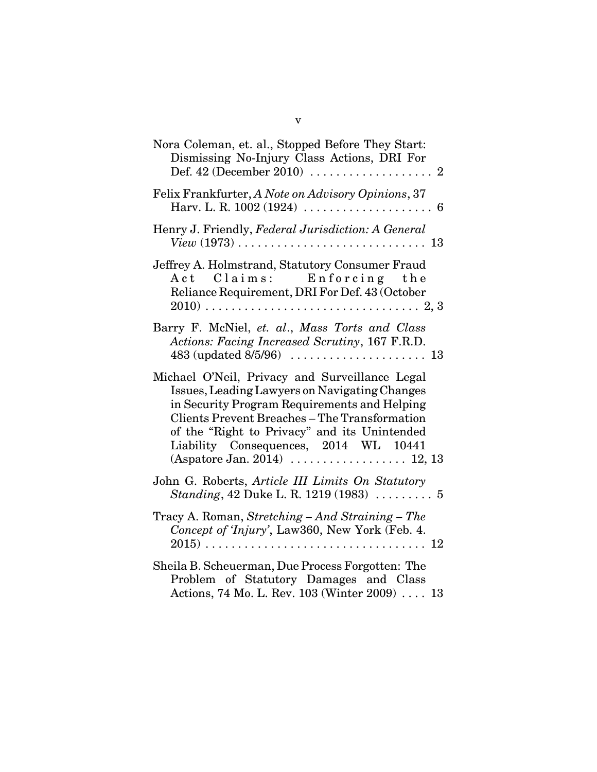| Nora Coleman, et. al., Stopped Before They Start:<br>Dismissing No-Injury Class Actions, DRI For                                                                                                                                                                                                                                                                     |
|----------------------------------------------------------------------------------------------------------------------------------------------------------------------------------------------------------------------------------------------------------------------------------------------------------------------------------------------------------------------|
| Felix Frankfurter, A Note on Advisory Opinions, 37                                                                                                                                                                                                                                                                                                                   |
| Henry J. Friendly, Federal Jurisdiction: A General                                                                                                                                                                                                                                                                                                                   |
| Jeffrey A. Holmstrand, Statutory Consumer Fraud<br>Act Claims: Enforcing the<br>Reliance Requirement, DRI For Def. 43 (October                                                                                                                                                                                                                                       |
| Barry F. McNiel, et. al., Mass Torts and Class<br>Actions: Facing Increased Scrutiny, 167 F.R.D.                                                                                                                                                                                                                                                                     |
| Michael O'Neil, Privacy and Surveillance Legal<br>Issues, Leading Lawyers on Navigating Changes<br>in Security Program Requirements and Helping<br><b>Clients Prevent Breaches - The Transformation</b><br>of the "Right to Privacy" and its Unintended<br>Liability Consequences, 2014 WL 10441<br>$(Aspatore Jan. 2014) \ldots \ldots \ldots \ldots \ldots 12, 13$ |
| John G. Roberts, Article III Limits On Statutory<br>Standing, 42 Duke L. R. 1219 (1983)  5                                                                                                                                                                                                                                                                           |
| Tracy A. Roman, Stretching - And Straining - The<br>Concept of <i>Tnjury</i> ', Law360, New York (Feb. 4.                                                                                                                                                                                                                                                            |
| Sheila B. Scheuerman, Due Process Forgotten: The<br>Problem of Statutory Damages and Class<br>Actions, 74 Mo. L. Rev. 103 (Winter 2009)  13                                                                                                                                                                                                                          |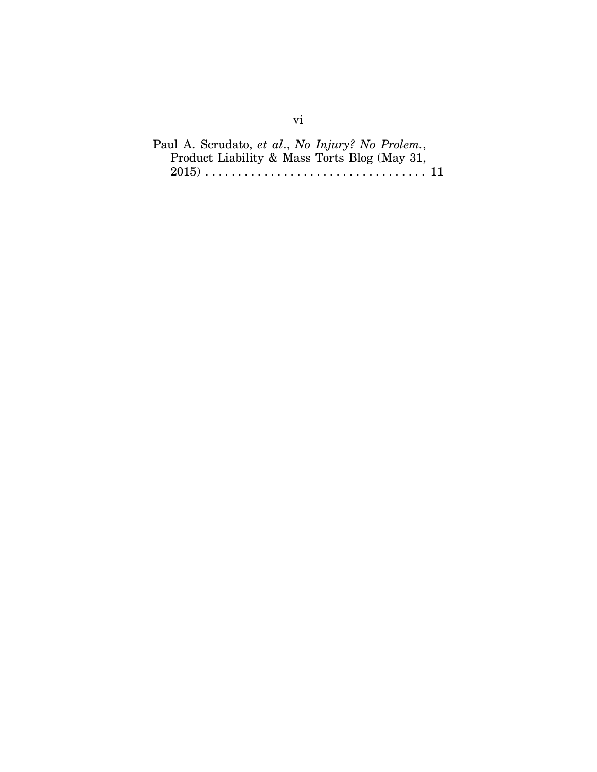Paul A. Scrudato, *et al*., *No Injury? No Prolem.*, Product Liability & Mass Torts Blog (May 31, 2015) . . . . . . . . . . . . . . . . . . . . . . . . . . . . . . . . . . 11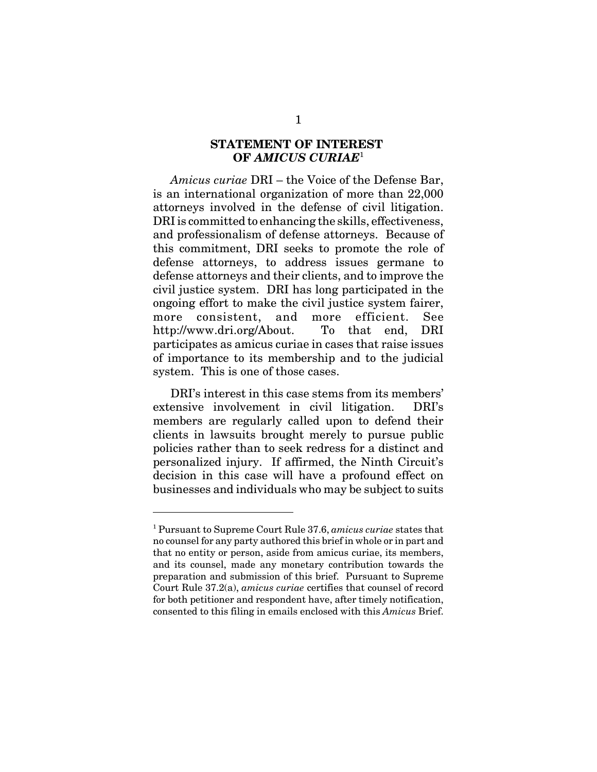### **STATEMENT OF INTEREST OF** *AMICUS CURIAE*<sup>1</sup>

*Amicus curiae* DRI – the Voice of the Defense Bar, is an international organization of more than 22,000 attorneys involved in the defense of civil litigation. DRI is committed to enhancing the skills, effectiveness, and professionalism of defense attorneys. Because of this commitment, DRI seeks to promote the role of defense attorneys, to address issues germane to defense attorneys and their clients, and to improve the civil justice system. DRI has long participated in the ongoing effort to make the civil justice system fairer, more consistent, and more efficient. See http://www.dri.org/About. To that end, DRI participates as amicus curiae in cases that raise issues of importance to its membership and to the judicial system. This is one of those cases.

DRI's interest in this case stems from its members' extensive involvement in civil litigation. DRI's members are regularly called upon to defend their clients in lawsuits brought merely to pursue public policies rather than to seek redress for a distinct and personalized injury. If affirmed, the Ninth Circuit's decision in this case will have a profound effect on businesses and individuals who may be subject to suits

<sup>1</sup> Pursuant to Supreme Court Rule 37.6, *amicus curiae* states that no counsel for any party authored this brief in whole or in part and that no entity or person, aside from amicus curiae, its members, and its counsel, made any monetary contribution towards the preparation and submission of this brief. Pursuant to Supreme Court Rule 37.2(a), *amicus curiae* certifies that counsel of record for both petitioner and respondent have, after timely notification, consented to this filing in emails enclosed with this *Amicus* Brief.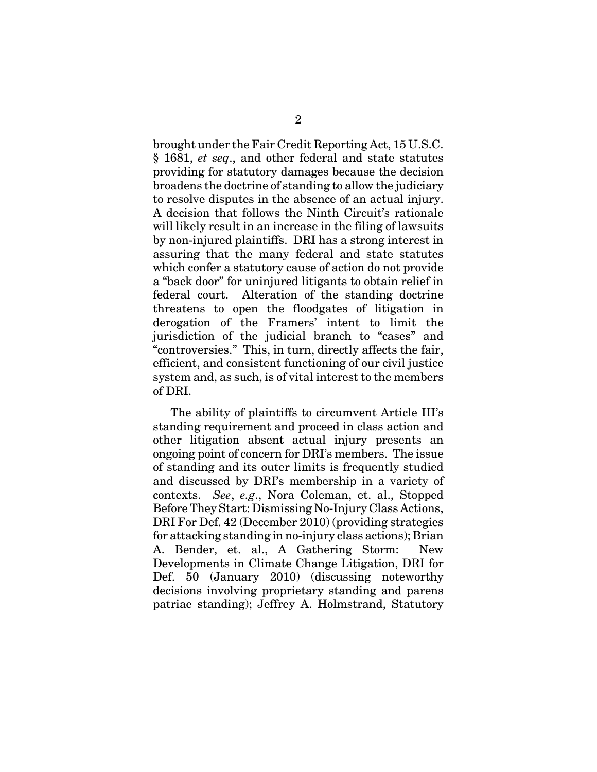brought under the Fair Credit Reporting Act, 15 U.S.C. § 1681, *et seq*., and other federal and state statutes providing for statutory damages because the decision broadens the doctrine of standing to allow the judiciary to resolve disputes in the absence of an actual injury. A decision that follows the Ninth Circuit's rationale will likely result in an increase in the filing of lawsuits by non-injured plaintiffs. DRI has a strong interest in assuring that the many federal and state statutes which confer a statutory cause of action do not provide a "back door" for uninjured litigants to obtain relief in federal court. Alteration of the standing doctrine threatens to open the floodgates of litigation in derogation of the Framers' intent to limit the jurisdiction of the judicial branch to "cases" and "controversies." This, in turn, directly affects the fair, efficient, and consistent functioning of our civil justice system and, as such, is of vital interest to the members of DRI.

The ability of plaintiffs to circumvent Article III's standing requirement and proceed in class action and other litigation absent actual injury presents an ongoing point of concern for DRI's members. The issue of standing and its outer limits is frequently studied and discussed by DRI's membership in a variety of contexts. *See*, *e.g*., Nora Coleman, et. al., Stopped Before They Start: Dismissing No-Injury Class Actions, DRI For Def. 42 (December 2010) (providing strategies for attacking standing in no-injury class actions); Brian A. Bender, et. al., A Gathering Storm: New Developments in Climate Change Litigation, DRI for Def. 50 (January 2010) (discussing noteworthy decisions involving proprietary standing and parens patriae standing); Jeffrey A. Holmstrand, Statutory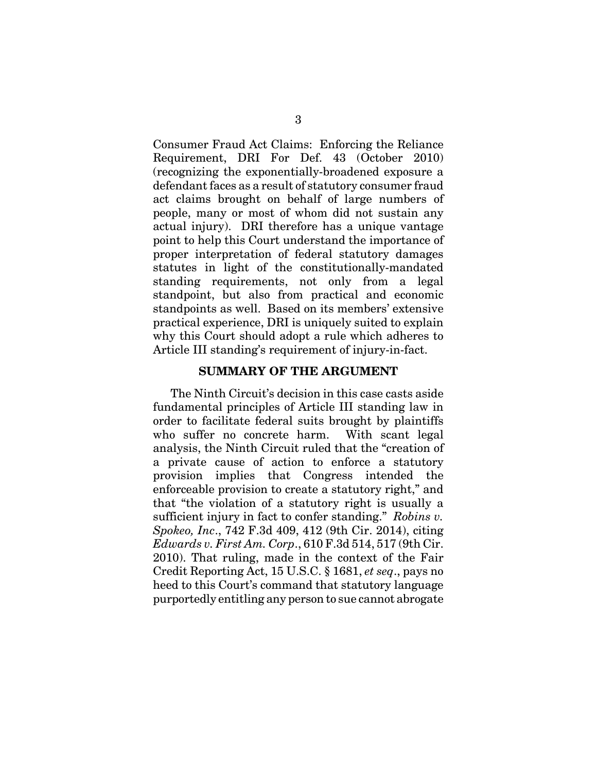Consumer Fraud Act Claims: Enforcing the Reliance Requirement, DRI For Def. 43 (October 2010) (recognizing the exponentially-broadened exposure a defendant faces as a result of statutory consumer fraud act claims brought on behalf of large numbers of people, many or most of whom did not sustain any actual injury). DRI therefore has a unique vantage point to help this Court understand the importance of proper interpretation of federal statutory damages statutes in light of the constitutionally-mandated standing requirements, not only from a legal standpoint, but also from practical and economic standpoints as well. Based on its members' extensive practical experience, DRI is uniquely suited to explain why this Court should adopt a rule which adheres to Article III standing's requirement of injury-in-fact.

#### **SUMMARY OF THE ARGUMENT**

The Ninth Circuit's decision in this case casts aside fundamental principles of Article III standing law in order to facilitate federal suits brought by plaintiffs who suffer no concrete harm. With scant legal analysis, the Ninth Circuit ruled that the "creation of a private cause of action to enforce a statutory provision implies that Congress intended the enforceable provision to create a statutory right," and that "the violation of a statutory right is usually a sufficient injury in fact to confer standing." *Robins v. Spokeo, Inc*., 742 F.3d 409, 412 (9th Cir. 2014), citing *Edwards v. First Am. Corp*., 610 F.3d 514, 517 (9th Cir. 2010). That ruling, made in the context of the Fair Credit Reporting Act, 15 U.S.C. § 1681, *et seq*., pays no heed to this Court's command that statutory language purportedly entitling any person to sue cannot abrogate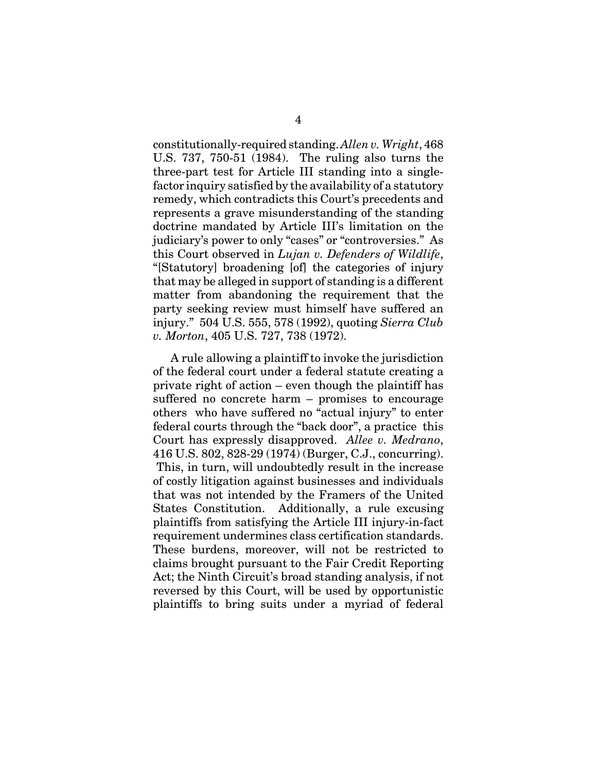constitutionally-required standing. *Allen v. Wright*, 468 U.S. 737, 750-51 (1984). The ruling also turns the three-part test for Article III standing into a singlefactor inquiry satisfied by the availability of a statutory remedy, which contradicts this Court's precedents and represents a grave misunderstanding of the standing doctrine mandated by Article III's limitation on the judiciary's power to only "cases" or "controversies." As this Court observed in *Lujan v. Defenders of Wildlife*, "[Statutory] broadening [of] the categories of injury that may be alleged in support of standing is a different matter from abandoning the requirement that the party seeking review must himself have suffered an injury." 504 U.S. 555, 578 (1992), quoting *Sierra Club v. Morton*, 405 U.S. 727, 738 (1972).

A rule allowing a plaintiff to invoke the jurisdiction of the federal court under a federal statute creating a private right of action – even though the plaintiff has suffered no concrete harm – promises to encourage others who have suffered no "actual injury" to enter federal courts through the "back door", a practice this Court has expressly disapproved. *Allee v. Medrano*, 416 U.S. 802, 828-29 (1974) (Burger, C.J., concurring). This, in turn, will undoubtedly result in the increase of costly litigation against businesses and individuals that was not intended by the Framers of the United States Constitution. Additionally, a rule excusing plaintiffs from satisfying the Article III injury-in-fact requirement undermines class certification standards. These burdens, moreover, will not be restricted to claims brought pursuant to the Fair Credit Reporting Act; the Ninth Circuit's broad standing analysis, if not reversed by this Court, will be used by opportunistic plaintiffs to bring suits under a myriad of federal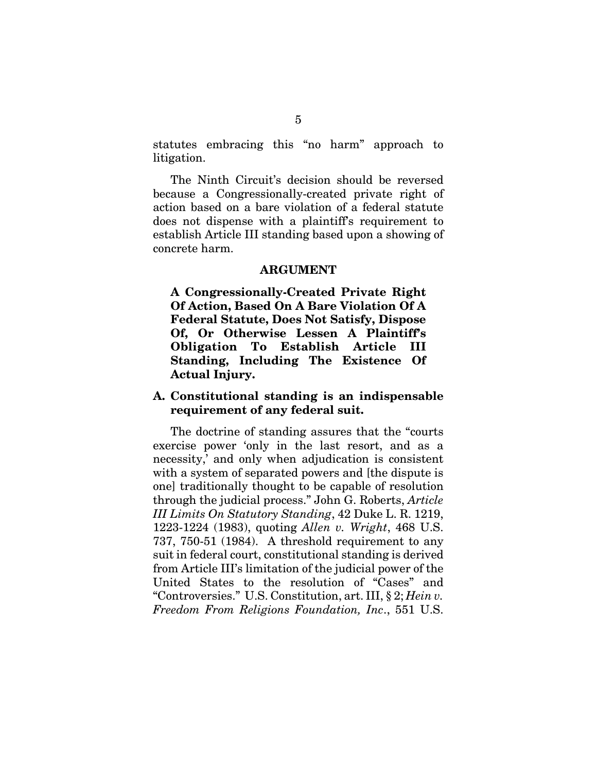statutes embracing this "no harm" approach to litigation.

The Ninth Circuit's decision should be reversed because a Congressionally-created private right of action based on a bare violation of a federal statute does not dispense with a plaintiff's requirement to establish Article III standing based upon a showing of concrete harm.

#### **ARGUMENT**

**A Congressionally-Created Private Right Of Action, Based On A Bare Violation Of A Federal Statute, Does Not Satisfy, Dispose Of, Or Otherwise Lessen A Plaintiff's Obligation To Establish Article III Standing, Including The Existence Of Actual Injury.** 

### **A. Constitutional standing is an indispensable requirement of any federal suit.**

The doctrine of standing assures that the "courts exercise power 'only in the last resort, and as a necessity,' and only when adjudication is consistent with a system of separated powers and [the dispute is one] traditionally thought to be capable of resolution through the judicial process." John G. Roberts, *Article III Limits On Statutory Standing*, 42 Duke L. R. 1219, 1223-1224 (1983), quoting *Allen v. Wright*, 468 U.S. 737, 750-51 (1984). A threshold requirement to any suit in federal court, constitutional standing is derived from Article III's limitation of the judicial power of the United States to the resolution of "Cases" and "Controversies." U.S. Constitution, art. III, § 2; *Hein v. Freedom From Religions Foundation, Inc*., 551 U.S.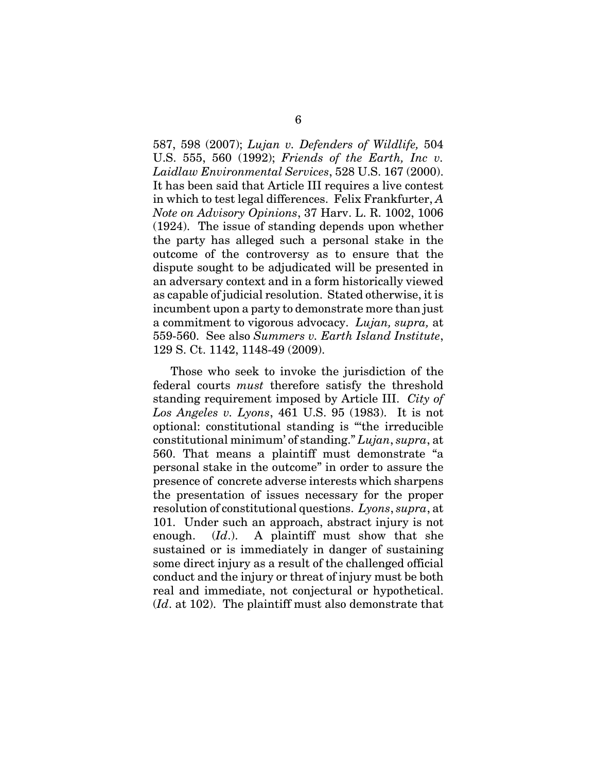587, 598 (2007); *Lujan v. Defenders of Wildlife,* 504 U.S. 555, 560 (1992); *Friends of the Earth, Inc v. Laidlaw Environmental Services*, 528 U.S. 167 (2000). It has been said that Article III requires a live contest in which to test legal differences. Felix Frankfurter, *A Note on Advisory Opinions*, 37 Harv. L. R. 1002, 1006 (1924). The issue of standing depends upon whether the party has alleged such a personal stake in the outcome of the controversy as to ensure that the dispute sought to be adjudicated will be presented in an adversary context and in a form historically viewed as capable of judicial resolution. Stated otherwise, it is incumbent upon a party to demonstrate more than just a commitment to vigorous advocacy. *Lujan, supra,* at 559-560. See also *Summers v. Earth Island Institute*, 129 S. Ct. 1142, 1148-49 (2009).

Those who seek to invoke the jurisdiction of the federal courts *must* therefore satisfy the threshold standing requirement imposed by Article III. *City of Los Angeles v. Lyons*, 461 U.S. 95 (1983). It is not optional: constitutional standing is "'the irreducible constitutional minimum' of standing." *Lujan*, *supra*, at 560. That means a plaintiff must demonstrate "a personal stake in the outcome" in order to assure the presence of concrete adverse interests which sharpens the presentation of issues necessary for the proper resolution of constitutional questions. *Lyons*, *supra*, at 101. Under such an approach, abstract injury is not enough. (*Id*.). A plaintiff must show that she sustained or is immediately in danger of sustaining some direct injury as a result of the challenged official conduct and the injury or threat of injury must be both real and immediate, not conjectural or hypothetical. (*Id*. at 102). The plaintiff must also demonstrate that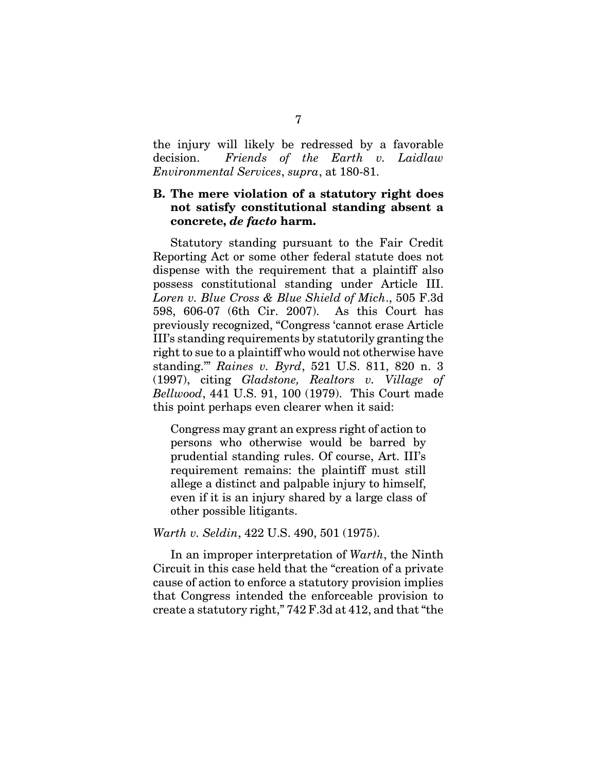the injury will likely be redressed by a favorable decision. *Friends of the Earth v. Laidlaw Environmental Services*, *supra*, at 180-81.

### **B. The mere violation of a statutory right does not satisfy constitutional standing absent a concrete,** *de facto* **harm.**

Statutory standing pursuant to the Fair Credit Reporting Act or some other federal statute does not dispense with the requirement that a plaintiff also possess constitutional standing under Article III. *Loren v. Blue Cross & Blue Shield of Mich*., 505 F.3d 598, 606-07 (6th Cir. 2007). As this Court has previously recognized, "Congress 'cannot erase Article III's standing requirements by statutorily granting the right to sue to a plaintiff who would not otherwise have standing.'" *Raines v. Byrd*, 521 U.S. 811, 820 n. 3 (1997), citing *Gladstone, Realtors v. Village of Bellwood*, 441 U.S. 91, 100 (1979). This Court made this point perhaps even clearer when it said:

Congress may grant an express right of action to persons who otherwise would be barred by prudential standing rules. Of course, Art. III's requirement remains: the plaintiff must still allege a distinct and palpable injury to himself, even if it is an injury shared by a large class of other possible litigants.

*Warth v. Seldin*, 422 U.S. 490, 501 (1975).

In an improper interpretation of *Warth*, the Ninth Circuit in this case held that the "creation of a private cause of action to enforce a statutory provision implies that Congress intended the enforceable provision to create a statutory right," 742 F.3d at 412, and that "the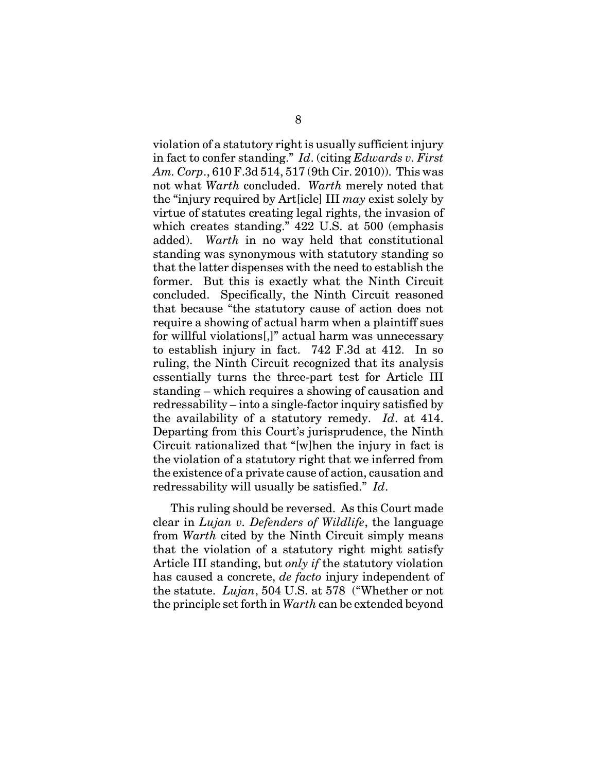violation of a statutory right is usually sufficient injury in fact to confer standing." *Id*. (citing *Edwards v. First Am. Corp*., 610 F.3d 514, 517 (9th Cir. 2010)). This was not what *Warth* concluded. *Warth* merely noted that the "injury required by Art[icle] III *may* exist solely by virtue of statutes creating legal rights, the invasion of which creates standing." 422 U.S. at 500 (emphasis added). *Warth* in no way held that constitutional standing was synonymous with statutory standing so that the latter dispenses with the need to establish the former. But this is exactly what the Ninth Circuit concluded. Specifically, the Ninth Circuit reasoned that because "the statutory cause of action does not require a showing of actual harm when a plaintiff sues for willful violations[,]" actual harm was unnecessary to establish injury in fact. 742 F.3d at 412. In so ruling, the Ninth Circuit recognized that its analysis essentially turns the three-part test for Article III standing – which requires a showing of causation and redressability – into a single-factor inquiry satisfied by the availability of a statutory remedy. *Id*. at 414. Departing from this Court's jurisprudence, the Ninth Circuit rationalized that "[w]hen the injury in fact is the violation of a statutory right that we inferred from the existence of a private cause of action, causation and redressability will usually be satisfied." *Id*.

This ruling should be reversed. As this Court made clear in *Lujan v. Defenders of Wildlife*, the language from *Warth* cited by the Ninth Circuit simply means that the violation of a statutory right might satisfy Article III standing, but *only if* the statutory violation has caused a concrete, *de facto* injury independent of the statute. *Lujan*, 504 U.S. at 578 ("Whether or not the principle set forth in *Warth* can be extended beyond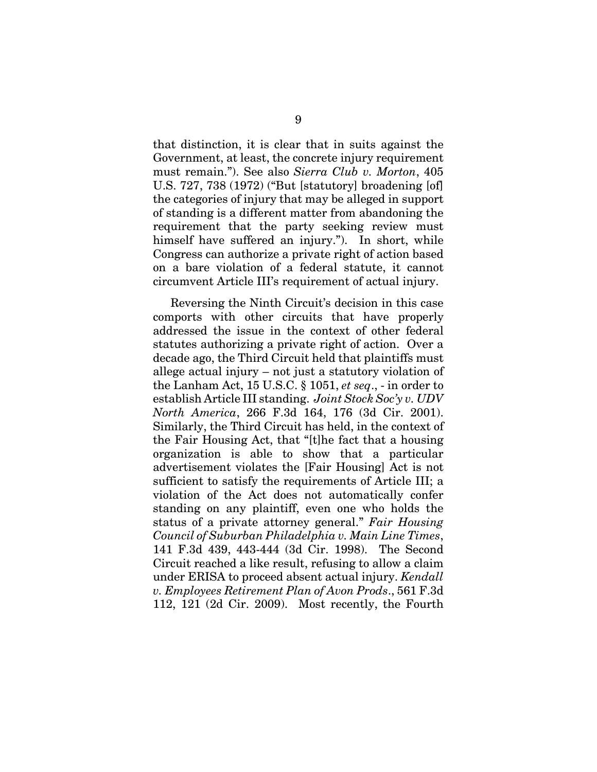that distinction, it is clear that in suits against the Government, at least, the concrete injury requirement must remain."). See also *Sierra Club v. Morton*, 405 U.S. 727, 738 (1972) ("But [statutory] broadening [of] the categories of injury that may be alleged in support of standing is a different matter from abandoning the requirement that the party seeking review must himself have suffered an injury."). In short, while Congress can authorize a private right of action based on a bare violation of a federal statute, it cannot circumvent Article III's requirement of actual injury.

Reversing the Ninth Circuit's decision in this case comports with other circuits that have properly addressed the issue in the context of other federal statutes authorizing a private right of action. Over a decade ago, the Third Circuit held that plaintiffs must allege actual injury – not just a statutory violation of the Lanham Act, 15 U.S.C. § 1051, *et seq*., - in order to establish Article III standing. *Joint Stock Soc'y v. UDV North America*, 266 F.3d 164, 176 (3d Cir. 2001). Similarly, the Third Circuit has held, in the context of the Fair Housing Act, that "[t]he fact that a housing organization is able to show that a particular advertisement violates the [Fair Housing] Act is not sufficient to satisfy the requirements of Article III; a violation of the Act does not automatically confer standing on any plaintiff, even one who holds the status of a private attorney general." *Fair Housing Council of Suburban Philadelphia v. Main Line Times*, 141 F.3d 439, 443-444 (3d Cir. 1998). The Second Circuit reached a like result, refusing to allow a claim under ERISA to proceed absent actual injury. *Kendall v. Employees Retirement Plan of Avon Prods*., 561 F.3d 112, 121 (2d Cir. 2009). Most recently, the Fourth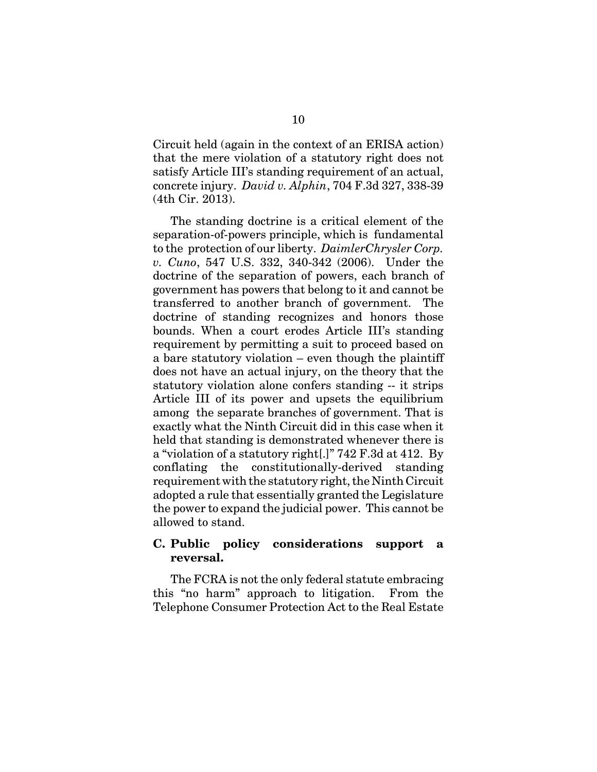Circuit held (again in the context of an ERISA action) that the mere violation of a statutory right does not satisfy Article III's standing requirement of an actual, concrete injury. *David v. Alphin*, 704 F.3d 327, 338-39 (4th Cir. 2013).

The standing doctrine is a critical element of the separation-of-powers principle, which is fundamental to the protection of our liberty. *DaimlerChrysler Corp. v. Cuno*, 547 U.S. 332, 340-342 (2006). Under the doctrine of the separation of powers, each branch of government has powers that belong to it and cannot be transferred to another branch of government. The doctrine of standing recognizes and honors those bounds. When a court erodes Article III's standing requirement by permitting a suit to proceed based on a bare statutory violation – even though the plaintiff does not have an actual injury, on the theory that the statutory violation alone confers standing -- it strips Article III of its power and upsets the equilibrium among the separate branches of government. That is exactly what the Ninth Circuit did in this case when it held that standing is demonstrated whenever there is a "violation of a statutory right[.]" 742 F.3d at 412. By conflating the constitutionally-derived standing requirement with the statutory right, the Ninth Circuit adopted a rule that essentially granted the Legislature the power to expand the judicial power. This cannot be allowed to stand.

#### **C. Public policy considerations support a reversal.**

The FCRA is not the only federal statute embracing this "no harm" approach to litigation. From the Telephone Consumer Protection Act to the Real Estate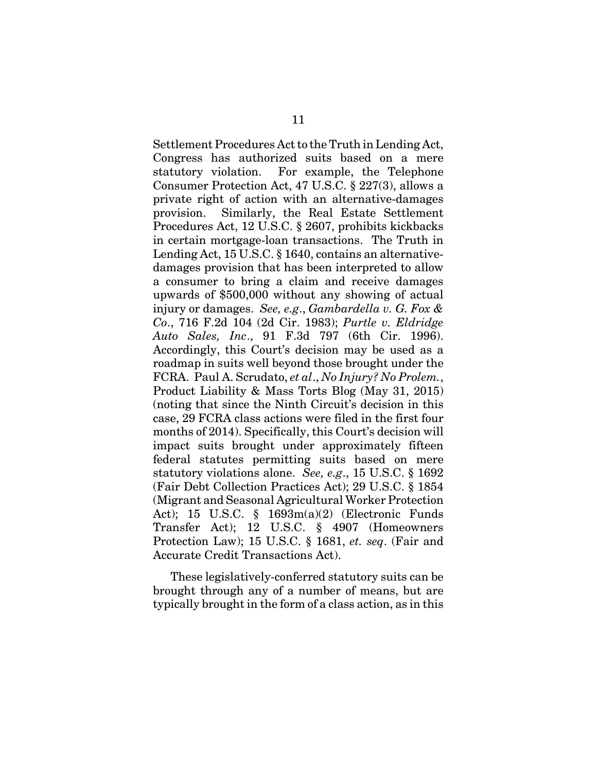Settlement Procedures Act to the Truth in Lending Act, Congress has authorized suits based on a mere statutory violation. For example, the Telephone Consumer Protection Act, 47 U.S.C. § 227(3), allows a private right of action with an alternative-damages provision. Similarly, the Real Estate Settlement Procedures Act, 12 U.S.C. § 2607, prohibits kickbacks in certain mortgage-loan transactions. The Truth in Lending Act, 15 U.S.C. § 1640, contains an alternativedamages provision that has been interpreted to allow a consumer to bring a claim and receive damages upwards of \$500,000 without any showing of actual injury or damages. *See, e.g*., *Gambardella v. G. Fox & Co*., 716 F.2d 104 (2d Cir. 1983); *Purtle v. Eldridge Auto Sales, Inc*., 91 F.3d 797 (6th Cir. 1996). Accordingly, this Court's decision may be used as a roadmap in suits well beyond those brought under the FCRA. Paul A. Scrudato, *et al*., *No Injury? No Prolem.*, Product Liability & Mass Torts Blog (May 31, 2015) (noting that since the Ninth Circuit's decision in this case, 29 FCRA class actions were filed in the first four months of 2014). Specifically, this Court's decision will impact suits brought under approximately fifteen federal statutes permitting suits based on mere statutory violations alone. *See, e.g*., 15 U.S.C. § 1692 (Fair Debt Collection Practices Act); 29 U.S.C. § 1854 (Migrant and Seasonal Agricultural Worker Protection Act); 15 U.S.C. § 1693m(a)(2) (Electronic Funds Transfer Act); 12 U.S.C. § 4907 (Homeowners Protection Law); 15 U.S.C. § 1681, *et. seq*. (Fair and Accurate Credit Transactions Act).

These legislatively-conferred statutory suits can be brought through any of a number of means, but are typically brought in the form of a class action, as in this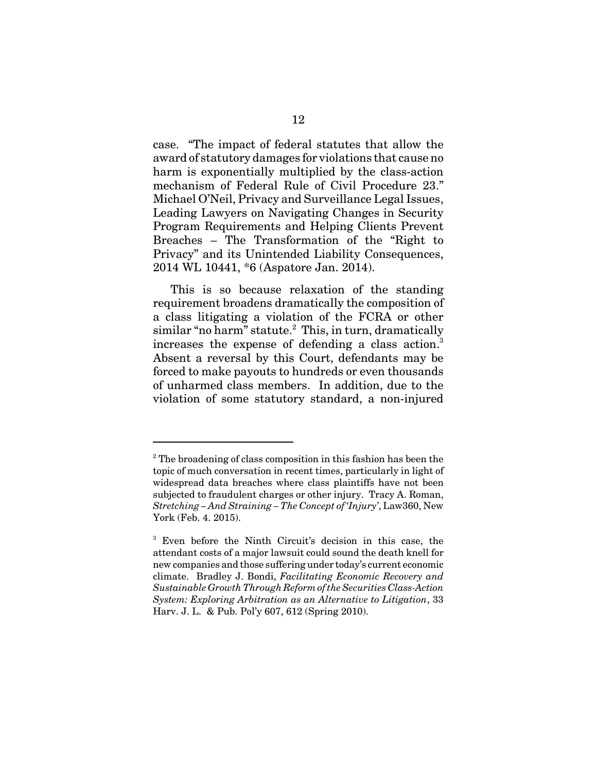case. "The impact of federal statutes that allow the award of statutory damages for violations that cause no harm is exponentially multiplied by the class-action mechanism of Federal Rule of Civil Procedure 23." Michael O'Neil, Privacy and Surveillance Legal Issues, Leading Lawyers on Navigating Changes in Security Program Requirements and Helping Clients Prevent Breaches – The Transformation of the "Right to Privacy" and its Unintended Liability Consequences, 2014 WL 10441, \*6 (Aspatore Jan. 2014).

This is so because relaxation of the standing requirement broadens dramatically the composition of a class litigating a violation of the FCRA or other similar "no harm" statute.<sup>2</sup> This, in turn, dramatically increases the expense of defending a class action.<sup>3</sup> Absent a reversal by this Court, defendants may be forced to make payouts to hundreds or even thousands of unharmed class members. In addition, due to the violation of some statutory standard, a non-injured

<sup>&</sup>lt;sup>2</sup> The broadening of class composition in this fashion has been the topic of much conversation in recent times, particularly in light of widespread data breaches where class plaintiffs have not been subjected to fraudulent charges or other injury. Tracy A. Roman, *Stretching – And Straining – The Concept of 'Injury'*, Law360, New York (Feb. 4. 2015).

<sup>3</sup> Even before the Ninth Circuit's decision in this case, the attendant costs of a major lawsuit could sound the death knell for new companies and those suffering under today's current economic climate. Bradley J. Bondi, *Facilitating Economic Recovery and Sustainable Growth Through Reform of the Securities Class-Action System: Exploring Arbitration as an Alternative to Litigation*, 33 Harv. J. L. & Pub. Pol'y 607, 612 (Spring 2010).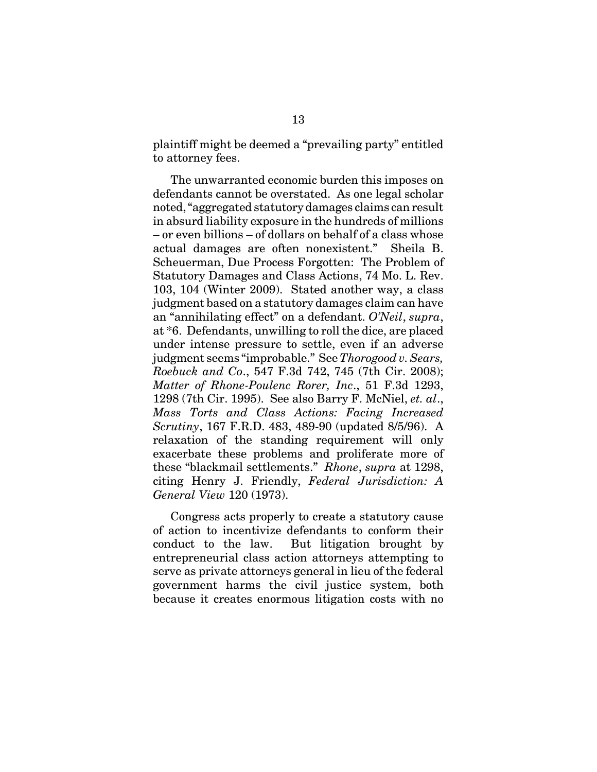plaintiff might be deemed a "prevailing party" entitled to attorney fees.

The unwarranted economic burden this imposes on defendants cannot be overstated. As one legal scholar noted, "aggregated statutory damages claims can result in absurd liability exposure in the hundreds of millions – or even billions – of dollars on behalf of a class whose actual damages are often nonexistent." Sheila B. Scheuerman, Due Process Forgotten: The Problem of Statutory Damages and Class Actions, 74 Mo. L. Rev. 103, 104 (Winter 2009). Stated another way, a class judgment based on a statutory damages claim can have an "annihilating effect" on a defendant. *O'Neil*, *supra*, at \*6. Defendants, unwilling to roll the dice, are placed under intense pressure to settle, even if an adverse judgment seems "improbable." See *Thorogood v. Sears, Roebuck and Co*., 547 F.3d 742, 745 (7th Cir. 2008); *Matter of Rhone-Poulenc Rorer, Inc*., 51 F.3d 1293, 1298 (7th Cir. 1995). See also Barry F. McNiel, *et. al*., *Mass Torts and Class Actions: Facing Increased Scrutiny*, 167 F.R.D. 483, 489-90 (updated 8/5/96). A relaxation of the standing requirement will only exacerbate these problems and proliferate more of these "blackmail settlements." *Rhone*, *supra* at 1298, citing Henry J. Friendly, *Federal Jurisdiction: A General View* 120 (1973).

Congress acts properly to create a statutory cause of action to incentivize defendants to conform their conduct to the law. But litigation brought by entrepreneurial class action attorneys attempting to serve as private attorneys general in lieu of the federal government harms the civil justice system, both because it creates enormous litigation costs with no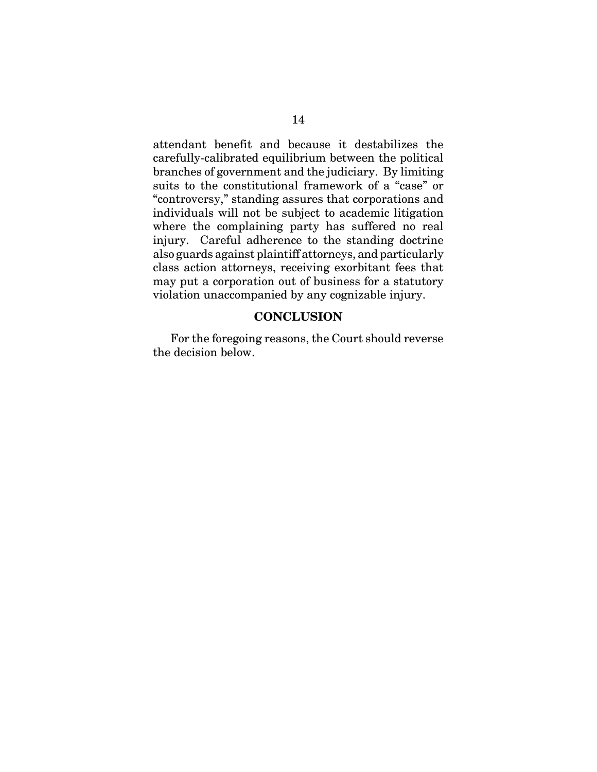attendant benefit and because it destabilizes the carefully-calibrated equilibrium between the political branches of government and the judiciary. By limiting suits to the constitutional framework of a "case" or "controversy," standing assures that corporations and individuals will not be subject to academic litigation where the complaining party has suffered no real injury. Careful adherence to the standing doctrine also guards against plaintiff attorneys, and particularly class action attorneys, receiving exorbitant fees that may put a corporation out of business for a statutory violation unaccompanied by any cognizable injury.

#### **CONCLUSION**

For the foregoing reasons, the Court should reverse the decision below.